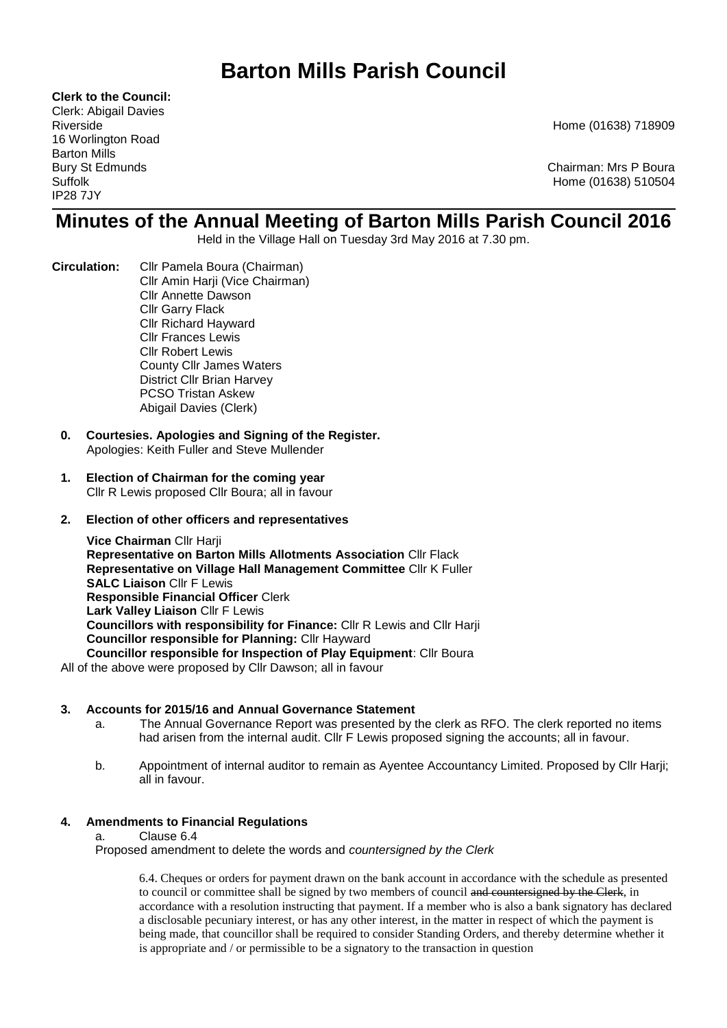# **Barton Mills Parish Council**

**Clerk to the Council:**

Clerk: Abigail Davies 16 Worlington Road Barton Mills IP28 7JY

Riverside Home (01638) 718909

Bury St Edmunds **Chairman: Mrs P Boura** Suffolk Home (01638) 510504

## **Minutes of the Annual Meeting of Barton Mills Parish Council 2016**

Held in the Village Hall on Tuesday 3rd May 2016 at 7.30 pm.

- **Circulation:** Cllr Pamela Boura (Chairman) Cllr Amin Harji (Vice Chairman) Cllr Annette Dawson Cllr Garry Flack Cllr Richard Hayward Cllr Frances Lewis Cllr Robert Lewis County Cllr James Waters District Cllr Brian Harvey PCSO Tristan Askew Abigail Davies (Clerk)
	- **0. Courtesies. Apologies and Signing of the Register.**  Apologies: Keith Fuller and Steve Mullender
	- **1. Election of Chairman for the coming year** Cllr R Lewis proposed Cllr Boura; all in favour

### **2. Election of other officers and representatives**

**Vice Chairman** Cllr Harji **Representative on Barton Mills Allotments Association** Cllr Flack **Representative on Village Hall Management Committee** Cllr K Fuller **SALC Liaison** Cllr F Lewis **Responsible Financial Officer** Clerk **Lark Valley Liaison** Cllr F Lewis **Councillors with responsibility for Finance:** Cllr R Lewis and Cllr Harji **Councillor responsible for Planning:** Cllr Hayward **Councillor responsible for Inspection of Play Equipment**: Cllr Boura

All of the above were proposed by Cllr Dawson; all in favour

### **3. Accounts for 2015/16 and Annual Governance Statement**

- a. The Annual Governance Report was presented by the clerk as RFO. The clerk reported no items had arisen from the internal audit. Cllr F Lewis proposed signing the accounts; all in favour.
- b. Appointment of internal auditor to remain as Ayentee Accountancy Limited. Proposed by Cllr Harji; all in favour.

### **4. Amendments to Financial Regulations**

a. Clause 6.4

Proposed amendment to delete the words and *countersigned by the Clerk*

6.4. Cheques or orders for payment drawn on the bank account in accordance with the schedule as presented to council or committee shall be signed by two members of council and countersigned by the Clerk, in accordance with a resolution instructing that payment. If a member who is also a bank signatory has declared a disclosable pecuniary interest, or has any other interest, in the matter in respect of which the payment is being made, that councillor shall be required to consider Standing Orders, and thereby determine whether it is appropriate and / or permissible to be a signatory to the transaction in question